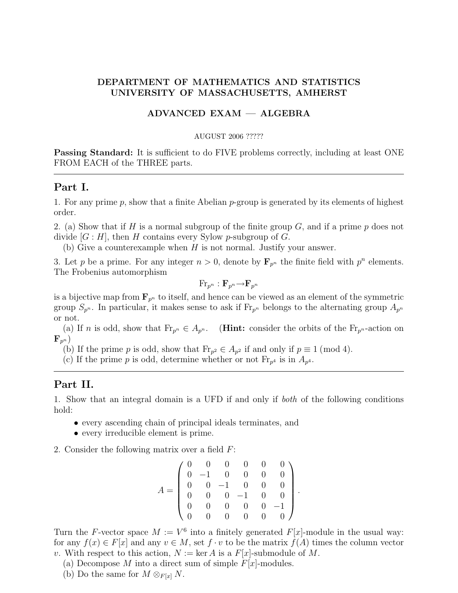## DEPARTMENT OF MATHEMATICS AND STATISTICS UNIVERSITY OF MASSACHUSETTS, AMHERST

### ADVANCED EXAM — ALGEBRA

#### AUGUST 2006 ?????

**Passing Standard:** It is sufficient to do FIVE problems correctly, including at least ONE FROM EACH of the THREE parts.

#### Part I.

1. For any prime p, show that a finite Abelian p-group is generated by its elements of highest order.

2. (a) Show that if H is a normal subgroup of the finite group  $G$ , and if a prime p does not divide  $|G : H|$ , then H contains every Sylow p-subgroup of G.

(b) Give a counterexample when  $H$  is not normal. Justify your answer.

3. Let p be a prime. For any integer  $n > 0$ , denote by  $\mathbf{F}_{p^n}$  the finite field with  $p^n$  elements. The Frobenius automorphism

$$
\text{Fr}_{p^n}:\mathbf{F}_{p^n}{\rightarrow}\mathbf{F}_{p^n}
$$

is a bijective map from  $\mathbf{F}_{n^h}$  to itself, and hence can be viewed as an element of the symmetric group  $S_{p^n}$ . In particular, it makes sense to ask if  $\mathrm{Fr}_{p^n}$  belongs to the alternating group  $A_{p^n}$ or not.

(a) If n is odd, show that  $\mathrm{Fr}_{p^n} \in A_{p^n}$ . (**Hint:** consider the orbits of the  $\mathrm{Fr}_{p^n}$ -action on  $\mathbf{F}_{p^n}$ )

(b) If the prime p is odd, show that  $\text{Fr}_{p^2} \in A_{p^2}$  if and only if  $p \equiv 1 \pmod{4}$ .

(c) If the prime p is odd, determine whether or not  $\mathrm{Fr}_{p^4}$  is in  $A_{p^4}$ .

# Part II.

1. Show that an integral domain is a UFD if and only if both of the following conditions hold:

- every ascending chain of principal ideals terminates, and
- every irreducible element is prime.
- 2. Consider the following matrix over a field F:

$$
A = \left(\begin{array}{cccccc} 0 & 0 & 0 & 0 & 0 & 0 \\ 0 & -1 & 0 & 0 & 0 & 0 \\ 0 & 0 & -1 & 0 & 0 & 0 \\ 0 & 0 & 0 & -1 & 0 & 0 \\ 0 & 0 & 0 & 0 & 0 & -1 \\ 0 & 0 & 0 & 0 & 0 & 0 \end{array}\right)
$$

.

Turn the F-vector space  $M := V^6$  into a finitely generated  $F[x]$ -module in the usual way: for any  $f(x) \in F[x]$  and any  $v \in M$ , set  $f \cdot v$  to be the matrix  $f(A)$  times the column vector v. With respect to this action,  $N := \ker A$  is a  $F[x]$ -submodule of M.

- (a) Decompose  $M$  into a direct sum of simple  $F[x]$ -modules.
- (b) Do the same for  $M \otimes_{F[x]} N$ .